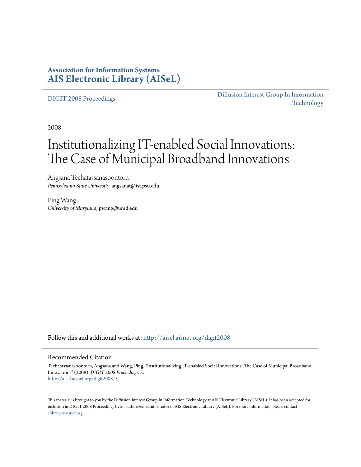# **Association for Information Systems [AIS Electronic Library \(AISeL\)](http://aisel.aisnet.org?utm_source=aisel.aisnet.org%2Fdigit2008%2F5&utm_medium=PDF&utm_campaign=PDFCoverPages)**

[DIGIT 2008 Proceedings](http://aisel.aisnet.org/digit2008?utm_source=aisel.aisnet.org%2Fdigit2008%2F5&utm_medium=PDF&utm_campaign=PDFCoverPages)

[Diffusion Interest Group In Information](http://aisel.aisnet.org/digit?utm_source=aisel.aisnet.org%2Fdigit2008%2F5&utm_medium=PDF&utm_campaign=PDFCoverPages) [Technology](http://aisel.aisnet.org/digit?utm_source=aisel.aisnet.org%2Fdigit2008%2F5&utm_medium=PDF&utm_campaign=PDFCoverPages)

2008

# Institutionalizing IT-enabled Social Innovations: The Case of Municipal Broadband Innovations

Angsana Techatassanasoontorn *Pennsylvania State University*, angsanat@ist.psu.edu

Ping Wang *University of Maryland*, pwang@umd.edu

Follow this and additional works at: [http://aisel.aisnet.org/digit2008](http://aisel.aisnet.org/digit2008?utm_source=aisel.aisnet.org%2Fdigit2008%2F5&utm_medium=PDF&utm_campaign=PDFCoverPages)

#### Recommended Citation

Techatassanasoontorn, Angsana and Wang, Ping, "Institutionalizing IT-enabled Social Innovations: The Case of Municipal Broadband Innovations" (2008). *DIGIT 2008 Proceedings*. 5. [http://aisel.aisnet.org/digit2008/5](http://aisel.aisnet.org/digit2008/5?utm_source=aisel.aisnet.org%2Fdigit2008%2F5&utm_medium=PDF&utm_campaign=PDFCoverPages)

This material is brought to you by the Diffusion Interest Group In Information Technology at AIS Electronic Library (AISeL). It has been accepted for inclusion in DIGIT 2008 Proceedings by an authorized administrator of AIS Electronic Library (AISeL). For more information, please contact [elibrary@aisnet.org.](mailto:elibrary@aisnet.org%3E)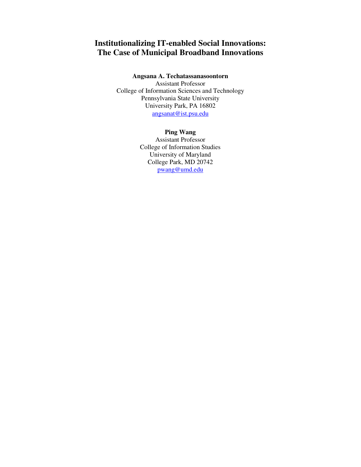# **Institutionalizing IT-enabled Social Innovations: The Case of Municipal Broadband Innovations**

## **Angsana A. Techatassanasoontorn**

Assistant Professor College of Information Sciences and Technology Pennsylvania State University University Park, PA 16802 angsanat@ist.psu.edu

# **Ping Wang**

Assistant Professor College of Information Studies University of Maryland College Park, MD 20742 pwang@umd.edu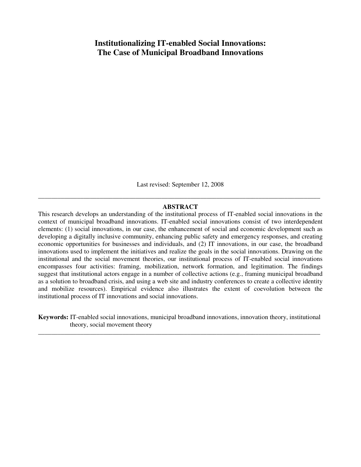# **Institutionalizing IT-enabled Social Innovations: The Case of Municipal Broadband Innovations**

Last revised: September 12, 2008

# \_\_\_\_\_\_\_\_\_\_\_\_\_\_\_\_\_\_\_\_\_\_\_\_\_\_\_\_\_\_\_\_\_\_\_\_\_\_\_\_\_\_\_\_\_\_\_\_\_\_\_\_\_\_\_\_\_\_\_\_\_\_\_\_\_\_\_\_\_\_\_\_\_\_\_\_\_\_\_\_\_\_\_\_\_\_\_ **ABSTRACT**

This research develops an understanding of the institutional process of IT-enabled social innovations in the context of municipal broadband innovations. IT-enabled social innovations consist of two interdependent elements: (1) social innovations, in our case, the enhancement of social and economic development such as developing a digitally inclusive community, enhancing public safety and emergency responses, and creating economic opportunities for businesses and individuals, and (2) IT innovations, in our case, the broadband innovations used to implement the initiatives and realize the goals in the social innovations. Drawing on the institutional and the social movement theories, our institutional process of IT-enabled social innovations encompasses four activities: framing, mobilization, network formation, and legitimation. The findings suggest that institutional actors engage in a number of collective actions (e.g., framing municipal broadband as a solution to broadband crisis, and using a web site and industry conferences to create a collective identity and mobilize resources). Empirical evidence also illustrates the extent of coevolution between the institutional process of IT innovations and social innovations.

**Keywords:** IT-enabled social innovations, municipal broadband innovations, innovation theory, institutional theory, social movement theory \_\_\_\_\_\_\_\_\_\_\_\_\_\_\_\_\_\_\_\_\_\_\_\_\_\_\_\_\_\_\_\_\_\_\_\_\_\_\_\_\_\_\_\_\_\_\_\_\_\_\_\_\_\_\_\_\_\_\_\_\_\_\_\_\_\_\_\_\_\_\_\_\_\_\_\_\_\_\_\_\_\_\_\_\_\_\_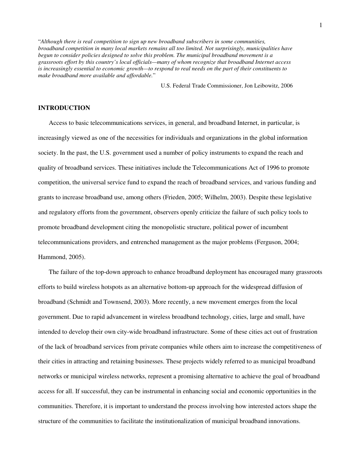"*Although there is real competition to sign up new broadband subscribers in some communities, broadband competition in many local markets remains all too limited. Not surprisingly, municipalities have begun to consider policies designed to solve this problem. The municipal broadband movement is a grassroots effort by this country's local officials—many of whom recognize that broadband Internet access is increasingly essential to economic growth—to respond to real needs on the part of their constituents to make broadband more available and affordable.*"

U.S. Federal Trade Commissioner, Jon Leibowitz, 2006

# **INTRODUCTION**

Access to basic telecommunications services, in general, and broadband Internet, in particular, is increasingly viewed as one of the necessities for individuals and organizations in the global information society. In the past, the U.S. government used a number of policy instruments to expand the reach and quality of broadband services. These initiatives include the Telecommunications Act of 1996 to promote competition, the universal service fund to expand the reach of broadband services, and various funding and grants to increase broadband use, among others (Frieden, 2005; Wilhelm, 2003). Despite these legislative and regulatory efforts from the government, observers openly criticize the failure of such policy tools to promote broadband development citing the monopolistic structure, political power of incumbent telecommunications providers, and entrenched management as the major problems (Ferguson, 2004; Hammond, 2005).

The failure of the top-down approach to enhance broadband deployment has encouraged many grassroots efforts to build wireless hotspots as an alternative bottom-up approach for the widespread diffusion of broadband (Schmidt and Townsend, 2003). More recently, a new movement emerges from the local government. Due to rapid advancement in wireless broadband technology, cities, large and small, have intended to develop their own city-wide broadband infrastructure. Some of these cities act out of frustration of the lack of broadband services from private companies while others aim to increase the competitiveness of their cities in attracting and retaining businesses. These projects widely referred to as municipal broadband networks or municipal wireless networks, represent a promising alternative to achieve the goal of broadband access for all. If successful, they can be instrumental in enhancing social and economic opportunities in the communities. Therefore, it is important to understand the process involving how interested actors shape the structure of the communities to facilitate the institutionalization of municipal broadband innovations.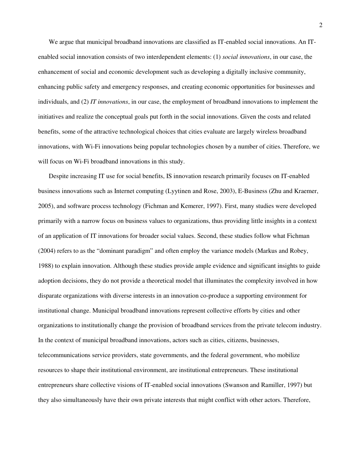We argue that municipal broadband innovations are classified as IT-enabled social innovations. An ITenabled social innovation consists of two interdependent elements: (1) *social innovations*, in our case, the enhancement of social and economic development such as developing a digitally inclusive community, enhancing public safety and emergency responses, and creating economic opportunities for businesses and individuals, and (2) *IT innovations*, in our case, the employment of broadband innovations to implement the initiatives and realize the conceptual goals put forth in the social innovations. Given the costs and related benefits, some of the attractive technological choices that cities evaluate are largely wireless broadband innovations, with Wi-Fi innovations being popular technologies chosen by a number of cities. Therefore, we will focus on Wi-Fi broadband innovations in this study.

Despite increasing IT use for social benefits, IS innovation research primarily focuses on IT-enabled business innovations such as Internet computing (Lyytinen and Rose, 2003), E-Business (Zhu and Kraemer, 2005), and software process technology (Fichman and Kemerer, 1997). First, many studies were developed primarily with a narrow focus on business values to organizations, thus providing little insights in a context of an application of IT innovations for broader social values. Second, these studies follow what Fichman (2004) refers to as the "dominant paradigm" and often employ the variance models (Markus and Robey, 1988) to explain innovation. Although these studies provide ample evidence and significant insights to guide adoption decisions, they do not provide a theoretical model that illuminates the complexity involved in how disparate organizations with diverse interests in an innovation co-produce a supporting environment for institutional change. Municipal broadband innovations represent collective efforts by cities and other organizations to institutionally change the provision of broadband services from the private telecom industry. In the context of municipal broadband innovations, actors such as cities, citizens, businesses, telecommunications service providers, state governments, and the federal government, who mobilize resources to shape their institutional environment, are institutional entrepreneurs. These institutional entrepreneurs share collective visions of IT-enabled social innovations (Swanson and Ramiller, 1997) but they also simultaneously have their own private interests that might conflict with other actors. Therefore,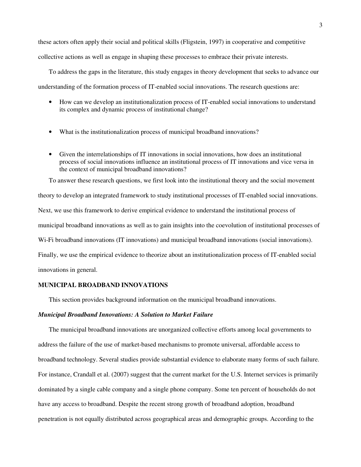these actors often apply their social and political skills (Fligstein, 1997) in cooperative and competitive collective actions as well as engage in shaping these processes to embrace their private interests.

To address the gaps in the literature, this study engages in theory development that seeks to advance our understanding of the formation process of IT-enabled social innovations. The research questions are:

- How can we develop an institutionalization process of IT-enabled social innovations to understand its complex and dynamic process of institutional change?
- What is the institutionalization process of municipal broadband innovations?
- Given the interrelationships of IT innovations in social innovations, how does an institutional process of social innovations influence an institutional process of IT innovations and vice versa in the context of municipal broadband innovations?

To answer these research questions, we first look into the institutional theory and the social movement theory to develop an integrated framework to study institutional processes of IT-enabled social innovations. Next, we use this framework to derive empirical evidence to understand the institutional process of municipal broadband innovations as well as to gain insights into the coevolution of institutional processes of Wi-Fi broadband innovations (IT innovations) and municipal broadband innovations (social innovations). Finally, we use the empirical evidence to theorize about an institutionalization process of IT-enabled social innovations in general.

#### **MUNICIPAL BROADBAND INNOVATIONS**

This section provides background information on the municipal broadband innovations.

## *Municipal Broadband Innovations: A Solution to Market Failure*

The municipal broadband innovations are unorganized collective efforts among local governments to address the failure of the use of market-based mechanisms to promote universal, affordable access to broadband technology. Several studies provide substantial evidence to elaborate many forms of such failure. For instance, Crandall et al. (2007) suggest that the current market for the U.S. Internet services is primarily dominated by a single cable company and a single phone company. Some ten percent of households do not have any access to broadband. Despite the recent strong growth of broadband adoption, broadband penetration is not equally distributed across geographical areas and demographic groups. According to the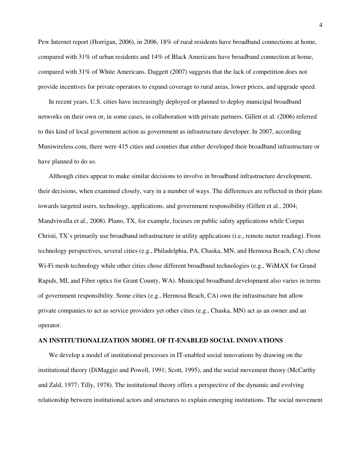Pew Internet report (Horrigan, 2006), in 2006, 18% of rural residents have broadband connections at home, compared with 31% of urban residents and 14% of Black Americans have broadband connection at home, compared with 31% of White Americans. Daggett (2007) suggests that the lack of competition does not provide incentives for private operators to expand coverage to rural areas, lower prices, and upgrade speed.

In recent years, U.S. cities have increasingly deployed or planned to deploy municipal broadband networks on their own or, in some cases, in collaboration with private partners. Gillett et al. (2006) referred to this kind of local government action as government as infrastructure developer. In 2007, according Muniwireless.com, there were 415 cities and counties that either developed their broadband infrastructure or have planned to do so.

Although cities appear to make similar decisions to involve in broadband infrastructure development, their decisions, when examined closely, vary in a number of ways. The differences are reflected in their plans towards targeted users, technology, applications, and government responsibility (Gillett et al., 2004; Mandviwalla et al., 2008). Plano, TX, for example, focuses on public safety applications while Corpus Christi, TX's primarily use broadband infrastructure in utility applications (i.e., remote meter reading). From technology perspectives, several cities (e.g., Philadelphia, PA, Chaska, MN, and Hermosa Beach, CA) chose Wi-Fi mesh technology while other cities chose different broadband technologies (e.g., WiMAX for Grand Rapids, MI, and Fiber optics for Grant County, WA). Municipal broadband development also varies in terms of government responsibility. Some cities (e.g., Hermosa Beach, CA) own the infrastructure but allow private companies to act as service providers yet other cities (e.g., Chaska, MN) act as an owner and an operator.

# **AN INSTITUTIONALIZATION MODEL OF IT-ENABLED SOCIAL INNOVATIONS**

We develop a model of institutional processes in IT-enabled social innovations by drawing on the institutional theory (DiMaggio and Powell, 1991; Scott, 1995), and the social movement theory (McCarthy and Zald, 1977; Tilly, 1978). The institutional theory offers a perspective of the dynamic and evolving relationship between institutional actors and structures to explain emerging institutions. The social movement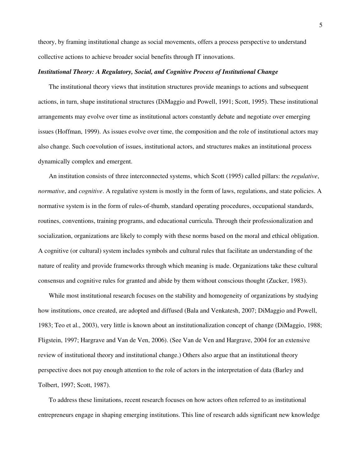theory, by framing institutional change as social movements, offers a process perspective to understand collective actions to achieve broader social benefits through IT innovations.

# *Institutional Theory: A Regulatory, Social, and Cognitive Process of Institutional Change*

The institutional theory views that institution structures provide meanings to actions and subsequent actions, in turn, shape institutional structures (DiMaggio and Powell, 1991; Scott, 1995). These institutional arrangements may evolve over time as institutional actors constantly debate and negotiate over emerging issues (Hoffman, 1999). As issues evolve over time, the composition and the role of institutional actors may also change. Such coevolution of issues, institutional actors, and structures makes an institutional process dynamically complex and emergent.

An institution consists of three interconnected systems, which Scott (1995) called pillars: the *regulative*, *normative*, and *cognitive*. A regulative system is mostly in the form of laws, regulations, and state policies. A normative system is in the form of rules-of-thumb, standard operating procedures, occupational standards, routines, conventions, training programs, and educational curricula. Through their professionalization and socialization, organizations are likely to comply with these norms based on the moral and ethical obligation. A cognitive (or cultural) system includes symbols and cultural rules that facilitate an understanding of the nature of reality and provide frameworks through which meaning is made. Organizations take these cultural consensus and cognitive rules for granted and abide by them without conscious thought (Zucker, 1983).

While most institutional research focuses on the stability and homogeneity of organizations by studying how institutions, once created, are adopted and diffused (Bala and Venkatesh, 2007; DiMaggio and Powell, 1983; Teo et al., 2003), very little is known about an institutionalization concept of change (DiMaggio, 1988; Fligstein, 1997; Hargrave and Van de Ven, 2006). (See Van de Ven and Hargrave, 2004 for an extensive review of institutional theory and institutional change.) Others also argue that an institutional theory perspective does not pay enough attention to the role of actors in the interpretation of data (Barley and Tolbert, 1997; Scott, 1987).

To address these limitations, recent research focuses on how actors often referred to as institutional entrepreneurs engage in shaping emerging institutions. This line of research adds significant new knowledge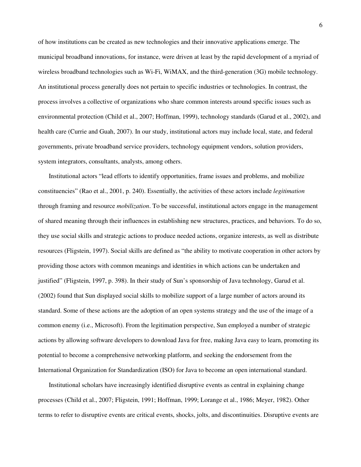of how institutions can be created as new technologies and their innovative applications emerge. The municipal broadband innovations, for instance, were driven at least by the rapid development of a myriad of wireless broadband technologies such as Wi-Fi, WiMAX, and the third-generation (3G) mobile technology. An institutional process generally does not pertain to specific industries or technologies. In contrast, the process involves a collective of organizations who share common interests around specific issues such as environmental protection (Child et al., 2007; Hoffman, 1999), technology standards (Garud et al., 2002), and health care (Currie and Guah, 2007). In our study, institutional actors may include local, state, and federal governments, private broadband service providers, technology equipment vendors, solution providers, system integrators, consultants, analysts, among others.

Institutional actors "lead efforts to identify opportunities, frame issues and problems, and mobilize constituencies" (Rao et al., 2001, p. 240). Essentially, the activities of these actors include *legitimation* through framing and resource *mobilization*. To be successful, institutional actors engage in the management of shared meaning through their influences in establishing new structures, practices, and behaviors. To do so, they use social skills and strategic actions to produce needed actions, organize interests, as well as distribute resources (Fligstein, 1997). Social skills are defined as "the ability to motivate cooperation in other actors by providing those actors with common meanings and identities in which actions can be undertaken and justified" (Fligstein, 1997, p. 398). In their study of Sun's sponsorship of Java technology, Garud et al. (2002) found that Sun displayed social skills to mobilize support of a large number of actors around its standard. Some of these actions are the adoption of an open systems strategy and the use of the image of a common enemy (i.e., Microsoft). From the legitimation perspective, Sun employed a number of strategic actions by allowing software developers to download Java for free, making Java easy to learn, promoting its potential to become a comprehensive networking platform, and seeking the endorsement from the International Organization for Standardization (ISO) for Java to become an open international standard.

Institutional scholars have increasingly identified disruptive events as central in explaining change processes (Child et al., 2007; Fligstein, 1991; Hoffman, 1999; Lorange et al., 1986; Meyer, 1982). Other terms to refer to disruptive events are critical events, shocks, jolts, and discontinuities. Disruptive events are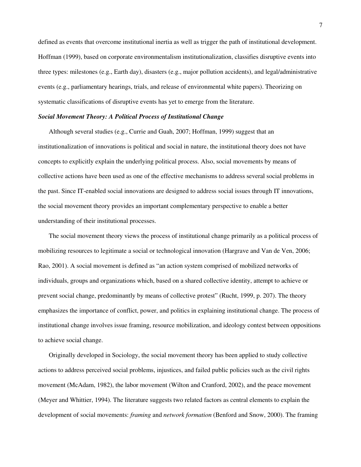defined as events that overcome institutional inertia as well as trigger the path of institutional development. Hoffman (1999), based on corporate environmentalism institutionalization, classifies disruptive events into three types: milestones (e.g., Earth day), disasters (e.g., major pollution accidents), and legal/administrative events (e.g., parliamentary hearings, trials, and release of environmental white papers). Theorizing on systematic classifications of disruptive events has yet to emerge from the literature.

# *Social Movement Theory: A Political Process of Institutional Change*

Although several studies (e.g., Currie and Guah, 2007; Hoffman, 1999) suggest that an institutionalization of innovations is political and social in nature, the institutional theory does not have concepts to explicitly explain the underlying political process. Also, social movements by means of collective actions have been used as one of the effective mechanisms to address several social problems in the past. Since IT-enabled social innovations are designed to address social issues through IT innovations, the social movement theory provides an important complementary perspective to enable a better understanding of their institutional processes.

The social movement theory views the process of institutional change primarily as a political process of mobilizing resources to legitimate a social or technological innovation (Hargrave and Van de Ven, 2006; Rao, 2001). A social movement is defined as "an action system comprised of mobilized networks of individuals, groups and organizations which, based on a shared collective identity, attempt to achieve or prevent social change, predominantly by means of collective protest" (Rucht, 1999, p. 207). The theory emphasizes the importance of conflict, power, and politics in explaining institutional change. The process of institutional change involves issue framing, resource mobilization, and ideology contest between oppositions to achieve social change.

Originally developed in Sociology, the social movement theory has been applied to study collective actions to address perceived social problems, injustices, and failed public policies such as the civil rights movement (McAdam, 1982), the labor movement (Wilton and Cranford, 2002), and the peace movement (Meyer and Whittier, 1994). The literature suggests two related factors as central elements to explain the development of social movements: *framing* and *network formation* (Benford and Snow, 2000). The framing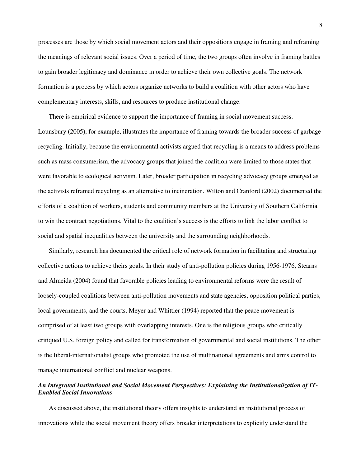processes are those by which social movement actors and their oppositions engage in framing and reframing the meanings of relevant social issues. Over a period of time, the two groups often involve in framing battles to gain broader legitimacy and dominance in order to achieve their own collective goals. The network formation is a process by which actors organize networks to build a coalition with other actors who have complementary interests, skills, and resources to produce institutional change.

There is empirical evidence to support the importance of framing in social movement success. Lounsbury (2005), for example, illustrates the importance of framing towards the broader success of garbage recycling. Initially, because the environmental activists argued that recycling is a means to address problems such as mass consumerism, the advocacy groups that joined the coalition were limited to those states that were favorable to ecological activism. Later, broader participation in recycling advocacy groups emerged as the activists reframed recycling as an alternative to incineration. Wilton and Cranford (2002) documented the efforts of a coalition of workers, students and community members at the University of Southern California to win the contract negotiations. Vital to the coalition's success is the efforts to link the labor conflict to social and spatial inequalities between the university and the surrounding neighborhoods.

Similarly, research has documented the critical role of network formation in facilitating and structuring collective actions to achieve theirs goals. In their study of anti-pollution policies during 1956-1976, Stearns and Almeida (2004) found that favorable policies leading to environmental reforms were the result of loosely-coupled coalitions between anti-pollution movements and state agencies, opposition political parties, local governments, and the courts. Meyer and Whittier (1994) reported that the peace movement is comprised of at least two groups with overlapping interests. One is the religious groups who critically critiqued U.S. foreign policy and called for transformation of governmental and social institutions. The other is the liberal-internationalist groups who promoted the use of multinational agreements and arms control to manage international conflict and nuclear weapons.

# *An Integrated Institutional and Social Movement Perspectives: Explaining the Institutionalization of IT-Enabled Social Innovations*

As discussed above, the institutional theory offers insights to understand an institutional process of innovations while the social movement theory offers broader interpretations to explicitly understand the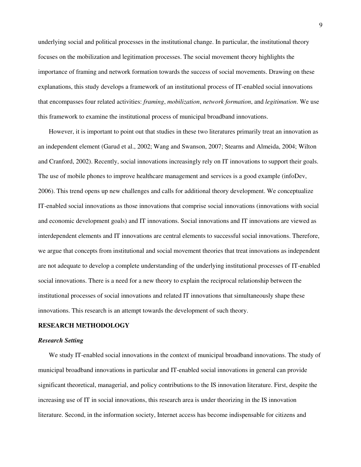underlying social and political processes in the institutional change. In particular, the institutional theory focuses on the mobilization and legitimation processes. The social movement theory highlights the importance of framing and network formation towards the success of social movements. Drawing on these explanations, this study develops a framework of an institutional process of IT-enabled social innovations that encompasses four related activities: *framing*, *mobilization*, *network formation*, and *legitimation*. We use this framework to examine the institutional process of municipal broadband innovations.

However, it is important to point out that studies in these two literatures primarily treat an innovation as an independent element (Garud et al., 2002; Wang and Swanson, 2007; Stearns and Almeida, 2004; Wilton and Cranford, 2002). Recently, social innovations increasingly rely on IT innovations to support their goals. The use of mobile phones to improve healthcare management and services is a good example (infoDev, 2006). This trend opens up new challenges and calls for additional theory development. We conceptualize IT-enabled social innovations as those innovations that comprise social innovations (innovations with social and economic development goals) and IT innovations. Social innovations and IT innovations are viewed as interdependent elements and IT innovations are central elements to successful social innovations. Therefore, we argue that concepts from institutional and social movement theories that treat innovations as independent are not adequate to develop a complete understanding of the underlying institutional processes of IT-enabled social innovations. There is a need for a new theory to explain the reciprocal relationship between the institutional processes of social innovations and related IT innovations that simultaneously shape these innovations. This research is an attempt towards the development of such theory.

#### **RESEARCH METHODOLOGY**

## *Research Setting*

We study IT-enabled social innovations in the context of municipal broadband innovations. The study of municipal broadband innovations in particular and IT-enabled social innovations in general can provide significant theoretical, managerial, and policy contributions to the IS innovation literature. First, despite the increasing use of IT in social innovations, this research area is under theorizing in the IS innovation literature. Second, in the information society, Internet access has become indispensable for citizens and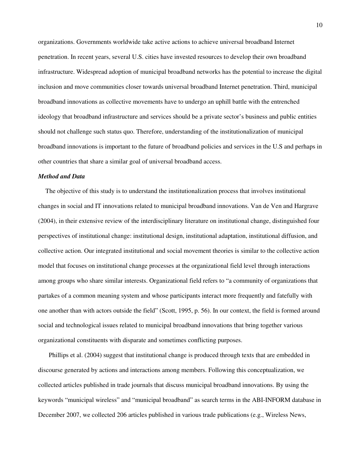organizations. Governments worldwide take active actions to achieve universal broadband Internet penetration. In recent years, several U.S. cities have invested resources to develop their own broadband infrastructure. Widespread adoption of municipal broadband networks has the potential to increase the digital inclusion and move communities closer towards universal broadband Internet penetration. Third, municipal broadband innovations as collective movements have to undergo an uphill battle with the entrenched ideology that broadband infrastructure and services should be a private sector's business and public entities should not challenge such status quo. Therefore, understanding of the institutionalization of municipal broadband innovations is important to the future of broadband policies and services in the U.S and perhaps in other countries that share a similar goal of universal broadband access.

#### *Method and Data*

The objective of this study is to understand the institutionalization process that involves institutional changes in social and IT innovations related to municipal broadband innovations. Van de Ven and Hargrave (2004), in their extensive review of the interdisciplinary literature on institutional change, distinguished four perspectives of institutional change: institutional design, institutional adaptation, institutional diffusion, and collective action. Our integrated institutional and social movement theories is similar to the collective action model that focuses on institutional change processes at the organizational field level through interactions among groups who share similar interests. Organizational field refers to "a community of organizations that partakes of a common meaning system and whose participants interact more frequently and fatefully with one another than with actors outside the field" (Scott, 1995, p. 56). In our context, the field is formed around social and technological issues related to municipal broadband innovations that bring together various organizational constituents with disparate and sometimes conflicting purposes.

Phillips et al. (2004) suggest that institutional change is produced through texts that are embedded in discourse generated by actions and interactions among members. Following this conceptualization, we collected articles published in trade journals that discuss municipal broadband innovations. By using the keywords "municipal wireless" and "municipal broadband" as search terms in the ABI-INFORM database in December 2007, we collected 206 articles published in various trade publications (e.g., Wireless News,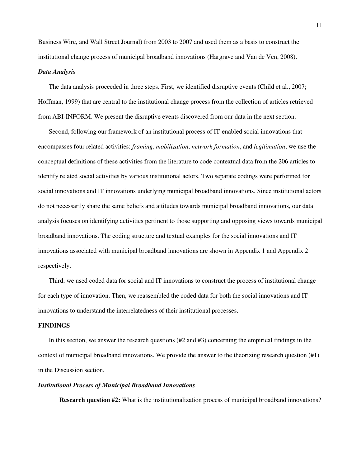Business Wire, and Wall Street Journal) from 2003 to 2007 and used them as a basis to construct the institutional change process of municipal broadband innovations (Hargrave and Van de Ven, 2008).

#### *Data Analysis*

The data analysis proceeded in three steps. First, we identified disruptive events (Child et al., 2007; Hoffman, 1999) that are central to the institutional change process from the collection of articles retrieved from ABI-INFORM. We present the disruptive events discovered from our data in the next section.

Second, following our framework of an institutional process of IT-enabled social innovations that encompasses four related activities: *framing*, *mobilization*, *network formation*, and *legitimation*, we use the conceptual definitions of these activities from the literature to code contextual data from the 206 articles to identify related social activities by various institutional actors. Two separate codings were performed for social innovations and IT innovations underlying municipal broadband innovations. Since institutional actors do not necessarily share the same beliefs and attitudes towards municipal broadband innovations, our data analysis focuses on identifying activities pertinent to those supporting and opposing views towards municipal broadband innovations. The coding structure and textual examples for the social innovations and IT innovations associated with municipal broadband innovations are shown in Appendix 1 and Appendix 2 respectively.

Third, we used coded data for social and IT innovations to construct the process of institutional change for each type of innovation. Then, we reassembled the coded data for both the social innovations and IT innovations to understand the interrelatedness of their institutional processes.

#### **FINDINGS**

In this section, we answer the research questions (#2 and #3) concerning the empirical findings in the context of municipal broadband innovations. We provide the answer to the theorizing research question (#1) in the Discussion section.

#### *Institutional Process of Municipal Broadband Innovations*

**Research question #2:** What is the institutionalization process of municipal broadband innovations?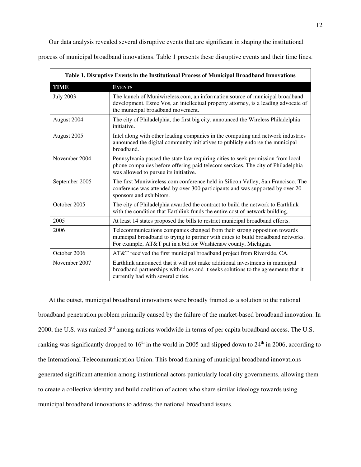Our data analysis revealed several disruptive events that are significant in shaping the institutional process of municipal broadband innovations. Table 1 presents these disruptive events and their time lines.

| Table 1. Disruptive Events in the Institutional Process of Municipal Broadband Innovations |                                                                                                                                                                                                                                  |  |
|--------------------------------------------------------------------------------------------|----------------------------------------------------------------------------------------------------------------------------------------------------------------------------------------------------------------------------------|--|
| TIME                                                                                       | <b>EVENTS</b>                                                                                                                                                                                                                    |  |
| <b>July 2003</b>                                                                           | The launch of Muniwireless.com, an information source of municipal broadband<br>development. Esme Vos, an intellectual property attorney, is a leading advocate of<br>the municipal broadband movement.                          |  |
| August 2004                                                                                | The city of Philadelphia, the first big city, announced the Wireless Philadelphia<br>initiative.                                                                                                                                 |  |
| August 2005                                                                                | Intel along with other leading companies in the computing and network industries<br>announced the digital community initiatives to publicly endorse the municipal<br>broadband.                                                  |  |
| November 2004                                                                              | Pennsylvania passed the state law requiring cities to seek permission from local<br>phone companies before offering paid telecom services. The city of Philadelphia<br>was allowed to pursue its initiative.                     |  |
| September 2005                                                                             | The first Muniwireless.com conference held in Silicon Valley, San Francisco. The<br>conference was attended by over 300 participants and was supported by over 20<br>sponsors and exhibitors.                                    |  |
| October 2005                                                                               | The city of Philadelphia awarded the contract to build the network to Earthlink<br>with the condition that Earthlink funds the entire cost of network building.                                                                  |  |
| 2005                                                                                       | At least 14 states proposed the bills to restrict municipal broadband efforts.                                                                                                                                                   |  |
| 2006                                                                                       | Telecommunications companies changed from their strong opposition towards<br>municipal broadband to trying to partner with cities to build broadband networks.<br>For example, AT&T put in a bid for Washtenaw county, Michigan. |  |
| October 2006                                                                               | AT&T received the first municipal broadband project from Riverside, CA.                                                                                                                                                          |  |
| November 2007                                                                              | Earthlink announced that it will not make additional investments in municipal<br>broadband partnerships with cities and it seeks solutions to the agreements that it<br>currently had with several cities.                       |  |

At the outset, municipal broadband innovations were broadly framed as a solution to the national broadband penetration problem primarily caused by the failure of the market-based broadband innovation. In 2000, the U.S. was ranked 3rd among nations worldwide in terms of per capita broadband access. The U.S. ranking was significantly dropped to  $16<sup>th</sup>$  in the world in 2005 and slipped down to  $24<sup>th</sup>$  in 2006, according to the International Telecommunication Union. This broad framing of municipal broadband innovations generated significant attention among institutional actors particularly local city governments, allowing them to create a collective identity and build coalition of actors who share similar ideology towards using municipal broadband innovations to address the national broadband issues.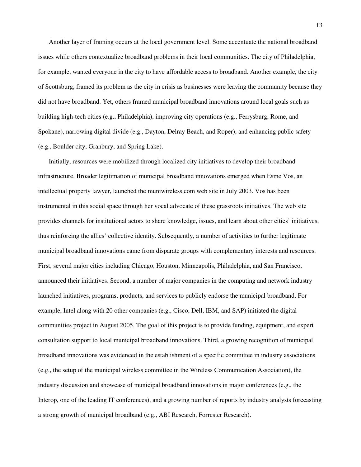Another layer of framing occurs at the local government level. Some accentuate the national broadband issues while others contextualize broadband problems in their local communities. The city of Philadelphia, for example, wanted everyone in the city to have affordable access to broadband. Another example, the city of Scottsburg, framed its problem as the city in crisis as businesses were leaving the community because they did not have broadband. Yet, others framed municipal broadband innovations around local goals such as building high-tech cities (e.g., Philadelphia), improving city operations (e.g., Ferrysburg, Rome, and Spokane), narrowing digital divide (e.g., Dayton, Delray Beach, and Roper), and enhancing public safety (e.g., Boulder city, Granbury, and Spring Lake).

Initially, resources were mobilized through localized city initiatives to develop their broadband infrastructure. Broader legitimation of municipal broadband innovations emerged when Esme Vos, an intellectual property lawyer, launched the muniwireless.com web site in July 2003. Vos has been instrumental in this social space through her vocal advocate of these grassroots initiatives. The web site provides channels for institutional actors to share knowledge, issues, and learn about other cities' initiatives, thus reinforcing the allies' collective identity. Subsequently, a number of activities to further legitimate municipal broadband innovations came from disparate groups with complementary interests and resources. First, several major cities including Chicago, Houston, Minneapolis, Philadelphia, and San Francisco, announced their initiatives. Second, a number of major companies in the computing and network industry launched initiatives, programs, products, and services to publicly endorse the municipal broadband. For example, Intel along with 20 other companies (e.g., Cisco, Dell, IBM, and SAP) initiated the digital communities project in August 2005. The goal of this project is to provide funding, equipment, and expert consultation support to local municipal broadband innovations. Third, a growing recognition of municipal broadband innovations was evidenced in the establishment of a specific committee in industry associations (e.g., the setup of the municipal wireless committee in the Wireless Communication Association), the industry discussion and showcase of municipal broadband innovations in major conferences (e.g., the Interop, one of the leading IT conferences), and a growing number of reports by industry analysts forecasting a strong growth of municipal broadband (e.g., ABI Research, Forrester Research).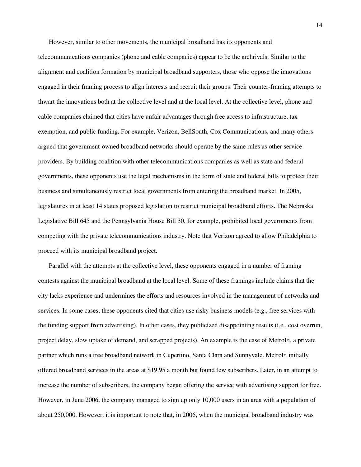However, similar to other movements, the municipal broadband has its opponents and telecommunications companies (phone and cable companies) appear to be the archrivals. Similar to the alignment and coalition formation by municipal broadband supporters, those who oppose the innovations engaged in their framing process to align interests and recruit their groups. Their counter-framing attempts to thwart the innovations both at the collective level and at the local level. At the collective level, phone and cable companies claimed that cities have unfair advantages through free access to infrastructure, tax exemption, and public funding. For example, Verizon, BellSouth, Cox Communications, and many others argued that government-owned broadband networks should operate by the same rules as other service providers. By building coalition with other telecommunications companies as well as state and federal governments, these opponents use the legal mechanisms in the form of state and federal bills to protect their business and simultaneously restrict local governments from entering the broadband market. In 2005, legislatures in at least 14 states proposed legislation to restrict municipal broadband efforts. The Nebraska Legislative Bill 645 and the Pennsylvania House Bill 30, for example, prohibited local governments from competing with the private telecommunications industry. Note that Verizon agreed to allow Philadelphia to proceed with its municipal broadband project.

Parallel with the attempts at the collective level, these opponents engaged in a number of framing contests against the municipal broadband at the local level. Some of these framings include claims that the city lacks experience and undermines the efforts and resources involved in the management of networks and services. In some cases, these opponents cited that cities use risky business models (e.g., free services with the funding support from advertising). In other cases, they publicized disappointing results (i.e., cost overrun, project delay, slow uptake of demand, and scrapped projects). An example is the case of MetroFi, a private partner which runs a free broadband network in Cupertino, Santa Clara and Sunnyvale. MetroFi initially offered broadband services in the areas at \$19.95 a month but found few subscribers. Later, in an attempt to increase the number of subscribers, the company began offering the service with advertising support for free. However, in June 2006, the company managed to sign up only 10,000 users in an area with a population of about 250,000. However, it is important to note that, in 2006, when the municipal broadband industry was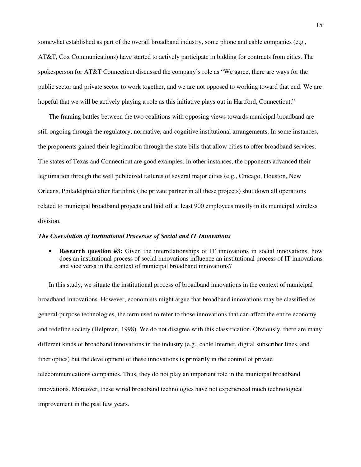somewhat established as part of the overall broadband industry, some phone and cable companies (e.g., AT&T, Cox Communications) have started to actively participate in bidding for contracts from cities. The spokesperson for AT&T Connecticut discussed the company's role as "We agree, there are ways for the public sector and private sector to work together, and we are not opposed to working toward that end. We are hopeful that we will be actively playing a role as this initiative plays out in Hartford, Connecticut."

The framing battles between the two coalitions with opposing views towards municipal broadband are still ongoing through the regulatory, normative, and cognitive institutional arrangements. In some instances, the proponents gained their legitimation through the state bills that allow cities to offer broadband services. The states of Texas and Connecticut are good examples. In other instances, the opponents advanced their legitimation through the well publicized failures of several major cities (e.g., Chicago, Houston, New Orleans, Philadelphia) after Earthlink (the private partner in all these projects) shut down all operations related to municipal broadband projects and laid off at least 900 employees mostly in its municipal wireless division.

#### *The Coevolution of Institutional Processes of Social and IT Innovations*

• **Research question #3:** Given the interrelationships of IT innovations in social innovations, how does an institutional process of social innovations influence an institutional process of IT innovations and vice versa in the context of municipal broadband innovations?

In this study, we situate the institutional process of broadband innovations in the context of municipal broadband innovations. However, economists might argue that broadband innovations may be classified as general-purpose technologies, the term used to refer to those innovations that can affect the entire economy and redefine society (Helpman, 1998). We do not disagree with this classification. Obviously, there are many different kinds of broadband innovations in the industry (e.g., cable Internet, digital subscriber lines, and fiber optics) but the development of these innovations is primarily in the control of private telecommunications companies. Thus, they do not play an important role in the municipal broadband innovations. Moreover, these wired broadband technologies have not experienced much technological improvement in the past few years.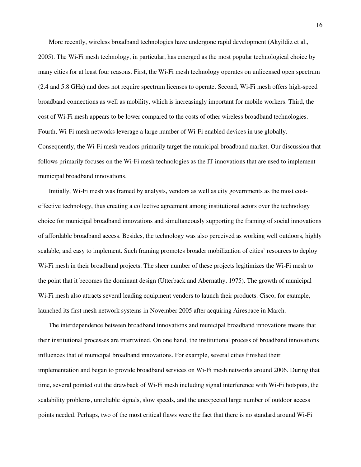More recently, wireless broadband technologies have undergone rapid development (Akyildiz et al., 2005). The Wi-Fi mesh technology, in particular, has emerged as the most popular technological choice by many cities for at least four reasons. First, the Wi-Fi mesh technology operates on unlicensed open spectrum (2.4 and 5.8 GHz) and does not require spectrum licenses to operate. Second, Wi-Fi mesh offers high-speed broadband connections as well as mobility, which is increasingly important for mobile workers. Third, the cost of Wi-Fi mesh appears to be lower compared to the costs of other wireless broadband technologies. Fourth, Wi-Fi mesh networks leverage a large number of Wi-Fi enabled devices in use globally. Consequently, the Wi-Fi mesh vendors primarily target the municipal broadband market. Our discussion that follows primarily focuses on the Wi-Fi mesh technologies as the IT innovations that are used to implement municipal broadband innovations.

Initially, Wi-Fi mesh was framed by analysts, vendors as well as city governments as the most costeffective technology, thus creating a collective agreement among institutional actors over the technology choice for municipal broadband innovations and simultaneously supporting the framing of social innovations of affordable broadband access. Besides, the technology was also perceived as working well outdoors, highly scalable, and easy to implement. Such framing promotes broader mobilization of cities' resources to deploy Wi-Fi mesh in their broadband projects. The sheer number of these projects legitimizes the Wi-Fi mesh to the point that it becomes the dominant design (Utterback and Abernathy, 1975). The growth of municipal Wi-Fi mesh also attracts several leading equipment vendors to launch their products. Cisco, for example, launched its first mesh network systems in November 2005 after acquiring Airespace in March.

The interdependence between broadband innovations and municipal broadband innovations means that their institutional processes are intertwined. On one hand, the institutional process of broadband innovations influences that of municipal broadband innovations. For example, several cities finished their implementation and began to provide broadband services on Wi-Fi mesh networks around 2006. During that time, several pointed out the drawback of Wi-Fi mesh including signal interference with Wi-Fi hotspots, the scalability problems, unreliable signals, slow speeds, and the unexpected large number of outdoor access points needed. Perhaps, two of the most critical flaws were the fact that there is no standard around Wi-Fi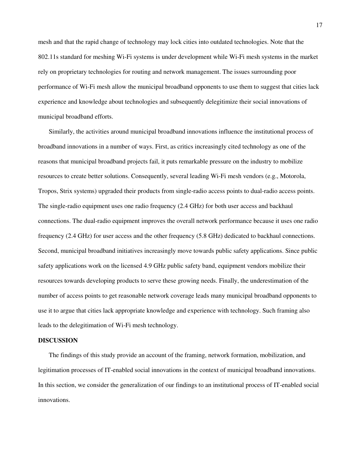mesh and that the rapid change of technology may lock cities into outdated technologies. Note that the 802.11s standard for meshing Wi-Fi systems is under development while Wi-Fi mesh systems in the market rely on proprietary technologies for routing and network management. The issues surrounding poor performance of Wi-Fi mesh allow the municipal broadband opponents to use them to suggest that cities lack experience and knowledge about technologies and subsequently delegitimize their social innovations of municipal broadband efforts.

Similarly, the activities around municipal broadband innovations influence the institutional process of broadband innovations in a number of ways. First, as critics increasingly cited technology as one of the reasons that municipal broadband projects fail, it puts remarkable pressure on the industry to mobilize resources to create better solutions. Consequently, several leading Wi-Fi mesh vendors (e.g., Motorola, Tropos, Strix systems) upgraded their products from single-radio access points to dual-radio access points. The single-radio equipment uses one radio frequency (2.4 GHz) for both user access and backhaul connections. The dual-radio equipment improves the overall network performance because it uses one radio frequency (2.4 GHz) for user access and the other frequency (5.8 GHz) dedicated to backhaul connections. Second, municipal broadband initiatives increasingly move towards public safety applications. Since public safety applications work on the licensed 4.9 GHz public safety band, equipment vendors mobilize their resources towards developing products to serve these growing needs. Finally, the underestimation of the number of access points to get reasonable network coverage leads many municipal broadband opponents to use it to argue that cities lack appropriate knowledge and experience with technology. Such framing also leads to the delegitimation of Wi-Fi mesh technology.

## **DISCUSSION**

The findings of this study provide an account of the framing, network formation, mobilization, and legitimation processes of IT-enabled social innovations in the context of municipal broadband innovations. In this section, we consider the generalization of our findings to an institutional process of IT-enabled social innovations.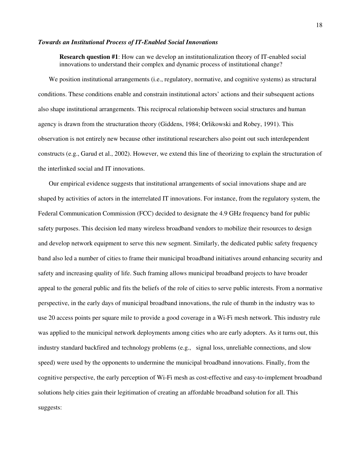## *Towards an Institutional Process of IT-Enabled Social Innovations*

**Research question #1**: How can we develop an institutionalization theory of IT-enabled social innovations to understand their complex and dynamic process of institutional change?

We position institutional arrangements (i.e., regulatory, normative, and cognitive systems) as structural conditions. These conditions enable and constrain institutional actors' actions and their subsequent actions also shape institutional arrangements. This reciprocal relationship between social structures and human agency is drawn from the structuration theory (Giddens, 1984; Orlikowski and Robey, 1991). This observation is not entirely new because other institutional researchers also point out such interdependent constructs (e.g., Garud et al., 2002). However, we extend this line of theorizing to explain the structuration of the interlinked social and IT innovations.

Our empirical evidence suggests that institutional arrangements of social innovations shape and are shaped by activities of actors in the interrelated IT innovations. For instance, from the regulatory system, the Federal Communication Commission (FCC) decided to designate the 4.9 GHz frequency band for public safety purposes. This decision led many wireless broadband vendors to mobilize their resources to design and develop network equipment to serve this new segment. Similarly, the dedicated public safety frequency band also led a number of cities to frame their municipal broadband initiatives around enhancing security and safety and increasing quality of life. Such framing allows municipal broadband projects to have broader appeal to the general public and fits the beliefs of the role of cities to serve public interests. From a normative perspective, in the early days of municipal broadband innovations, the rule of thumb in the industry was to use 20 access points per square mile to provide a good coverage in a Wi-Fi mesh network. This industry rule was applied to the municipal network deployments among cities who are early adopters. As it turns out, this industry standard backfired and technology problems (e.g., signal loss, unreliable connections, and slow speed) were used by the opponents to undermine the municipal broadband innovations. Finally, from the cognitive perspective, the early perception of Wi-Fi mesh as cost-effective and easy-to-implement broadband solutions help cities gain their legitimation of creating an affordable broadband solution for all. This suggests: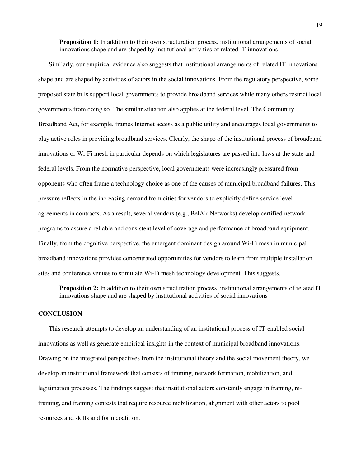**Proposition 1:** In addition to their own structuration process, institutional arrangements of social innovations shape and are shaped by institutional activities of related IT innovations

Similarly, our empirical evidence also suggests that institutional arrangements of related IT innovations shape and are shaped by activities of actors in the social innovations. From the regulatory perspective, some proposed state bills support local governments to provide broadband services while many others restrict local governments from doing so. The similar situation also applies at the federal level. The Community Broadband Act, for example, frames Internet access as a public utility and encourages local governments to play active roles in providing broadband services. Clearly, the shape of the institutional process of broadband innovations or Wi-Fi mesh in particular depends on which legislatures are passed into laws at the state and federal levels. From the normative perspective, local governments were increasingly pressured from opponents who often frame a technology choice as one of the causes of municipal broadband failures. This pressure reflects in the increasing demand from cities for vendors to explicitly define service level agreements in contracts. As a result, several vendors (e.g., BelAir Networks) develop certified network programs to assure a reliable and consistent level of coverage and performance of broadband equipment. Finally, from the cognitive perspective, the emergent dominant design around Wi-Fi mesh in municipal broadband innovations provides concentrated opportunities for vendors to learn from multiple installation sites and conference venues to stimulate Wi-Fi mesh technology development. This suggests.

**Proposition 2:** In addition to their own structuration process, institutional arrangements of related IT innovations shape and are shaped by institutional activities of social innovations

#### **CONCLUSION**

This research attempts to develop an understanding of an institutional process of IT-enabled social innovations as well as generate empirical insights in the context of municipal broadband innovations. Drawing on the integrated perspectives from the institutional theory and the social movement theory, we develop an institutional framework that consists of framing, network formation, mobilization, and legitimation processes. The findings suggest that institutional actors constantly engage in framing, reframing, and framing contests that require resource mobilization, alignment with other actors to pool resources and skills and form coalition.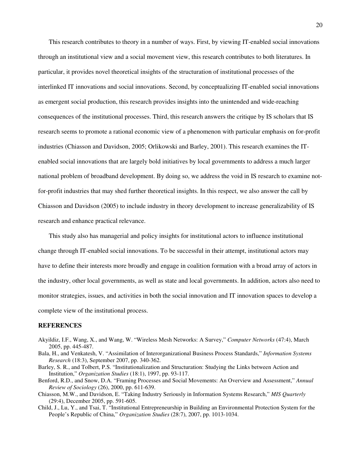This research contributes to theory in a number of ways. First, by viewing IT-enabled social innovations through an institutional view and a social movement view, this research contributes to both literatures. In particular, it provides novel theoretical insights of the structuration of institutional processes of the interlinked IT innovations and social innovations. Second, by conceptualizing IT-enabled social innovations as emergent social production, this research provides insights into the unintended and wide-reaching consequences of the institutional processes. Third, this research answers the critique by IS scholars that IS research seems to promote a rational economic view of a phenomenon with particular emphasis on for-profit industries (Chiasson and Davidson, 2005; Orlikowski and Barley, 2001). This research examines the ITenabled social innovations that are largely bold initiatives by local governments to address a much larger national problem of broadband development. By doing so, we address the void in IS research to examine notfor-profit industries that may shed further theoretical insights. In this respect, we also answer the call by Chiasson and Davidson (2005) to include industry in theory development to increase generalizability of IS research and enhance practical relevance.

This study also has managerial and policy insights for institutional actors to influence institutional change through IT-enabled social innovations. To be successful in their attempt, institutional actors may have to define their interests more broadly and engage in coalition formation with a broad array of actors in the industry, other local governments, as well as state and local governments. In addition, actors also need to monitor strategies, issues, and activities in both the social innovation and IT innovation spaces to develop a complete view of the institutional process.

#### **REFERENCES**

- Akyildiz, I.F., Wang, X., and Wang, W. "Wireless Mesh Networks: A Survey," *Computer Networks* (47:4), March 2005, pp. 445-487.
- Bala, H., and Venkatesh, V. "Assimilation of Interorganizational Business Process Standards," *Information Systems Research* (18:3), September 2007, pp. 340-362.
- Barley, S. R., and Tolbert, P.S. "Institutionalization and Structuration: Studying the Links between Action and Institution," *Organization Studies* (18:1), 1997, pp. 93-117.
- Benford, R.D., and Snow, D.A. "Framing Processes and Social Movements: An Overview and Assessment," *Annual Review of Sociology* (26), 2000, pp. 611-639.
- Chiasson, M.W., and Davidson, E. "Taking Industry Seriously in Information Systems Research," *MIS Quarterly*  (29:4), December 2005, pp. 591-605.
- Child, J., Lu, Y., and Tsai, T. "Institutional Entrepreneurship in Building an Environmental Protection System for the People's Republic of China," *Organization Studies* (28:7), 2007, pp. 1013-1034.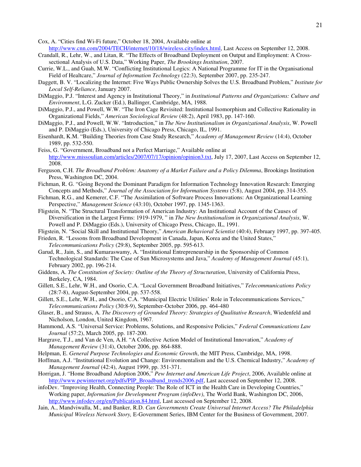Cox, A. "Cities find Wi-Fi future," October 18, 2004, Available online at

http://www.cnn.com/2004/TECH/internet/10/18/wireless.city/index.html, Last Access on September 12, 2008.

- Crandall, R., Lehr, W., and Litan, R. "The Effects of Broadband Deployment on Output and Employment: A Crosssectional Analysis of U.S. Data," Working Paper, *The Brookings Institution*, 2007.
- Currie, W.L., and Guah, M.W. "Conflicting Institutional Logics: A National Programme for IT in the Organisational Field of Healtcare," *Journal of Information Technology* (22:3), September 2007, pp. 235-247.
- Daggett, B. V. "Localizing the Internet: Five Ways Public Ownership Solves the U.S. Broadband Problem," *Institute for Local Self-Reliance*, January 2007.
- DiMaggio, P.J. "Interest and Agency in Institutional Theory," in *Institutional Patterns and Organizations: Culture and Environment*, L.G. Zucker (Ed.), Ballinger, Cambridge, MA, 1988.
- DiMaggio, P.J., and Powell, W.W. "The Iron Cage Revisited: Institutional Isomorphism and Collective Rationality in Organizational Fields," *American Sociological Review* (48:2), April 1983, pp. 147-160.
- DiMaggio, P.J., and Powell, W.W. "Introduction," in *The New Institutionalism in Organizational Analysis*, W. Powell and P. DiMaggio (Eds.), University of Chicago Press, Chicago, IL, 1991.
- Eisenhardt, K.M. "Building Theories from Case Study Research," *Academy of Management Review* (14:4), October 1989, pp. 532-550.
- Feiss, G. "Government, Broadband not a Perfect Marriage," Available online at http://www.missoulian.com/articles/2007/07/17/opinion/opinion3.txt, July 17, 2007, Last Access on September 12, 2008.
- Ferguson, C.H. *The Broadband Problem: Anatomy of a Market Failure and a Policy Dilemma*, Brookings Institution Press, Washington DC, 2004.
- Fichman, R. G. "Going Beyond the Dominant Paradigm for Information Technology Innovation Research: Emerging Concepts and Methods," *Journal of the Association for Information Systems* (5:8), August 2004, pp. 314-355.
- Fichman, R.G., and Kemerer, C.F. "The Assimilation of Software Process Innovations: An Organizational Learning Perspective," *Management Science* (43:10), October 1997, pp. 1345-1363.
- Fligstein, N. "The Structural Transformation of American Industry: An Institutional Account of the Causes of Diversification in the Largest Firms: 1919-1979, " in *The New Institutionalism in Organizational Analysis*, W. Powell and P. DiMaggio (Eds.), University of Chicago Press, Chicago, IL, 1991.
- Fligstein, N. "Social Skill and Institutional Theory," *American Behavioral Scientist* (40:4), February 1997, pp. 397-405.
- Frieden, R. "Lessons from Broadband Development in Canada, Japan, Korea and the United States," *Telecommunications Policy* (29:8), September 2005, pp. 595-613.
- Garud, R., Jain, S., and Kumaraswamy, A. "Institutional Entrepreneurship in the Sponsorship of Common Technological Standards: The Case of Sun Microsystems and Java," *Academy of Management Journal* (45:1), February 2002, pp. 196-214.
- Giddens, A. *The Constitution of Society: Outline of the Theory of Structuration*, University of California Press, Berkeley, CA, 1984.
- Gillett, S.E., Lehr, W.H., and Osorio, C.A. "Local Government Broadband Initiatives," *Telecommunications Policy* (28:7-8), August-September 2004, pp. 537-558.
- Gillett, S.E., Lehr, W.H., and Osorio, C.A. "Municipal Electric Utilities' Role in Telecommunications Services," *Telecommunications Policy* (30:8-9), September-October 2006, pp. 464-480
- Glaser, B., and Strauss, A. *The Discovery of Grounded Theory: Strategies of Qualitative Research*, Wiedenfeld and Nicholson, London, United Kingdom, 1967.
- Hammond, A.S. "Universal Service: Problems, Solutions, and Responsive Policies," *Federal Communications Law Journal* (57:2), March 2005, pp. 187-200.
- Hargrave, T.J., and Van de Ven, A.H. "A Collective Action Model of Institutional Innovation," *Academy of Management Review* (31:4), October 2006, pp. 864-888.
- Helpman, E. *General Purpose Technologies and Economic Growth*, the MIT Press, Cambridge, MA, 1998.
- Hoffman, A.J. "Institutional Evolution and Change: Environmentalism and the U.S. Chemical Industry," *Academy of Management Journal* (42:4), August 1999, pp. 351-371.
- Horrigan, J. "Home Broadband Adoption 2006," *Pew Internet and American Life Project*, 2006, Available online at http://www.pewinternet.org/pdfs/PIP\_Broadband\_trends2006.pdf, Last accessed on September 12, 2008.
- infoDev. "Improving Health, Connecting People: The Role of ICT in the Health Care in Developing Countries," Working paper, *Information for Development Program (infoDev)*, The World Bank, Washington DC, 2006, http://www.infodev.org/en/Publication.84.html, Last accessed on September 12, 2008.
- Jain, A., Mandviwalla, M., and Banker, R.D. *Can Governments Create Universal Internet Access? The Philadelphia Municipal Wireless Network Story,* E-Government Series, IBM Center for the Business of Government, 2007.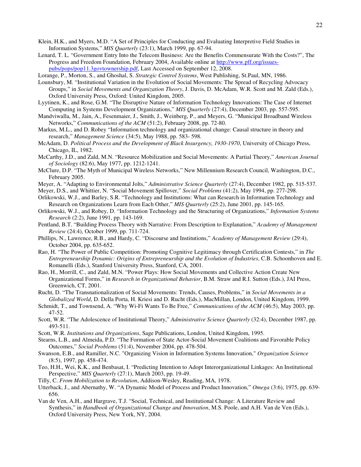- Klein, H.K., and Myers, M.D. "A Set of Principles for Conducting and Evaluating Interpretive Field Studies in Information Systems," *MIS Quarterly* (23:1), March 1999, pp. 67-94.
- Lenard, T. L. "Government Entry Into the Telecom Business: Are the Benefits Commensurate With the Costs?", The Progress and Freedom Foundation, February 2004, Available online at http://www.pff.org/issuespubs/pops/pop11.3govtownership.pdf, Last Accessed on September 12, 2008.

Lorange, P., Morton, S., and Ghoshal, S. *Strategic Control Systems*, West Publishing, St.Paul, MN, 1986.

- Lounsbury, M. "Institutional Variation in the Evolution of Social Movements: The Spread of Recycling Advocacy Groups," in *Social Movements and Organization Theory*, J. Davis, D. McAdam, W.R. Scott and M. Zald (Eds.), Oxford University Press, Oxford: United Kingdom, 2005.
- Lyytinen, K., and Rose, G.M. "The Disruptive Nature of Information Technology Innovations: The Case of Internet Computing in Systems Development Organizations," *MIS Quarterly* (27:4), December 2003, pp. 557-595.
- Mandviwalla, M., Jain, A., Fesenmaier, J., Smith, J., Weinberg, P., and Meyers, G. "Municipal Broadband Wireless Networks," *Communications of the ACM* (51:2), February 2008, pp. 72-80.
- Markus, M.L., and D. Robey "Information technology and organizational change: Causal structure in theory and research," *Management Science* (34:5), May 1988, pp. 583- 598.
- McAdam, D. *Political Process and the Development of Black Insurgency, 1930-1970*, University of Chicago Press, Chicago, IL, 1982.
- McCarthy, J.D., and Zald, M.N. "Resource Mobilization and Social Movements: A Partial Theory," *American Journal of Sociology* (82:6), May 1977, pp. 1212-1241.
- McClure, D.P. "The Myth of Municipal Wireless Networks," New Millennium Research Council, Washington, D.C., February 2005.
- Meyer, A. "Adapting to Environmental Jolts," *Administrative Science Quarterly* (27:4), December 1982, pp. 515-537.
- Meyer, D.S., and Whittier, N. "Social Movement Spillover," *Social Problems* (41:2), May 1994, pp. 277-298.
- Orlikowski, W.J., and Barley, S.R. "Technology and Institutions: What can Research in Information Technology and Research on Organizations Learn from Each Other," *MIS Quarterly* (25:2), June 2001, pp. 145-165.
- Orlikowski, W.J., and Robey, D. "Information Technology and the Structuring of Organizations," *Information Systems Research* (2:2), June 1991, pp. 143-169.
- Pentland, B.T. "Building Process Theory with Narrative: From Description to Explanation," *Academy of Management Review* (24:4), October 1999, pp. 711-724.
- Phillips, N., Lawrence, R.B., and Hardy, C. "Discourse and Institutions," *Academy of Management Review* (29:4), October 2004, pp. 635-652.
- Rao, H. "The Power of Public Competition: Promoting Cognitive Legitimacy through Certification Contests," in *The Entrepreneurship Dynamic: Origins of Entrepreneurship and the Evolution of Industries*, C.B. Schoonhoven and E. Romanelli (Eds.), Stanford University Press, Stanford, CA, 2001.
- Rao, H., Morrill, C., and Zald, M.N. "Power Plays: How Social Movements and Collective Action Create New Organizational Forms," in *Research in Organizational Behavior*, B.M. Straw and R.I. Sutton (Eds.), JAI Press, Greenwich, CT, 2001.
- Rucht, D. "The Transnationalization of Social Movements: Trends, Causes, Problems," in *Social Movements in a Globalized World*, D. Della Porta, H. Kriesi and D. Rucht (Eds.), MacMillan, London, United Kingdom, 1999.
- Schmidt, T., and Townsend, A. "Why Wi-Fi Wants To Be Free," *Communications of the ACM* (46:5), May 2003, pp. 47-52.
- Scott, W.R. "The Adolescence of Institutional Theory," *Administrative Science Quarterly* (32:4), December 1987, pp. 493-511.
- Scott, W.R. *Institutions and Organizations*, Sage Publications, London, United Kingdom, 1995.
- Stearns, L.B., and Almeida, P.D. "The Formation of State Actor-Social Movement Coalitions and Favorable Policy Outcomes," *Social Problems* (51:4), November 2004, pp. 478-504.
- Swanson, E.B., and Ramiller, N.C. "Organizing Vision in Information Systems Innovation," *Organization Science* (8:5), 1997, pp. 458-474.
- Teo, H.H., Wei, K.K., and Benbasat, I. "Predicting Intention to Adopt Interorganizational Linkages: An Institutional Perspective," *MIS Quarterly* (27:1), March 2003, pp. 19-49.
- Tilly, C. *From Mobilization to Revolution*, Addison-Wesley, Reading, MA, 1978.
- Utterback, J., and Abernathy, W. "A Dynamic Model of Process and Product Innovation," *Omega* (3:6), 1975, pp. 639- 656.
- Van de Ven, A.H., and Hargrave, T.J. "Social, Technical, and Institutional Change: A Literature Review and Synthesis," in *Handbook of Organizational Change and Innovation*, M.S. Poole, and A.H. Van de Ven (Eds.), Oxford University Press, New York, NY, 2004.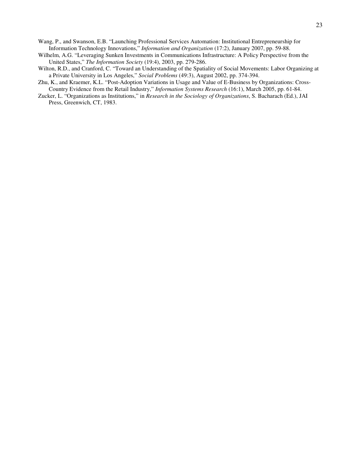Wang, P., and Swanson, E.B. "Launching Professional Services Automation: Institutional Entrepreneurship for Information Technology Innovations," *Information and Organization* (17:2), January 2007, pp. 59-88.

- Wilhelm, A.G. "Leveraging Sunken Investments in Communications Infrastructure: A Policy Perspective from the United States," *The Information Society* (19:4), 2003, pp. 279-286.
- Wilton, R.D., and Cranford, C. "Toward an Understanding of the Spatiality of Social Movements: Labor Organizing at a Private University in Los Angeles," *Social Problems* (49:3), August 2002, pp. 374-394.
- Zhu, K., and Kraemer, K.L. "Post-Adoption Variations in Usage and Value of E-Business by Organizations: Cross-Country Evidence from the Retail Industry," *Information Systems Research* (16:1), March 2005, pp. 61-84.
- Zucker, L. "Organizations as Institutions," in *Research in the Sociology of Organizations*, S. Bacharach (Ed.), JAI Press, Greenwich, CT, 1983.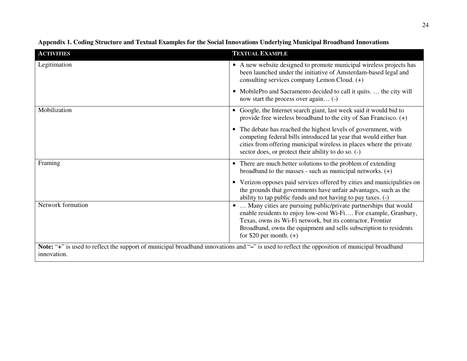| <b>ACTIVITIES</b>                                                                                                                            | <b>TEXTUAL EXAMPLE</b>                                                                                                                                                                                                                                                                              |  |
|----------------------------------------------------------------------------------------------------------------------------------------------|-----------------------------------------------------------------------------------------------------------------------------------------------------------------------------------------------------------------------------------------------------------------------------------------------------|--|
| Legitimation                                                                                                                                 | • A new website designed to promote municipal wireless projects has<br>been launched under the initiative of Amsterdam-based legal and<br>consulting services company Lemon Cloud. (+)                                                                                                              |  |
|                                                                                                                                              | • MobilePro and Sacramento decided to call it quits.  the city will<br>now start the process over again (-)                                                                                                                                                                                         |  |
| Mobilization                                                                                                                                 | • Google, the Internet search giant, last week said it would bid to<br>provide free wireless broadband to the city of San Francisco. $(+)$                                                                                                                                                          |  |
|                                                                                                                                              | • The debate has reached the highest levels of government, with<br>competing federal bills introduced lat year that would either ban<br>cities from offering municipal wireless in places where the private<br>sector does, or protect their ability to do so. (-)                                  |  |
| Framing                                                                                                                                      | • There are much better solutions to the problem of extending<br>broadband to the masses - such as municipal networks. $(+)$                                                                                                                                                                        |  |
|                                                                                                                                              | • Verizon opposes paid services offered by cities and municipalities on<br>the grounds that governments have unfair advantages, such as the<br>ability to tap public funds and not having to pay taxes. (-)                                                                                         |  |
| Network formation                                                                                                                            | Many cities are pursuing public/private partnerships that would<br>enable residents to enjoy low-cost Wi-Fi For example, Granbury,<br>Texas, owns its Wi-Fi network, but its contractor, Frontier<br>Broadband, owns the equipment and sells subscription to residents<br>for \$20 per month. $(+)$ |  |
| Note: "+" is used to reflect the support of municipal broadband innovations and "-" is used to reflect the opposition of municipal broadband |                                                                                                                                                                                                                                                                                                     |  |
| innovation.                                                                                                                                  |                                                                                                                                                                                                                                                                                                     |  |

# **Appendix 1. Coding Structure and Textual Examples for the Social Innovations Underlying Municipal Broadband Innovations**